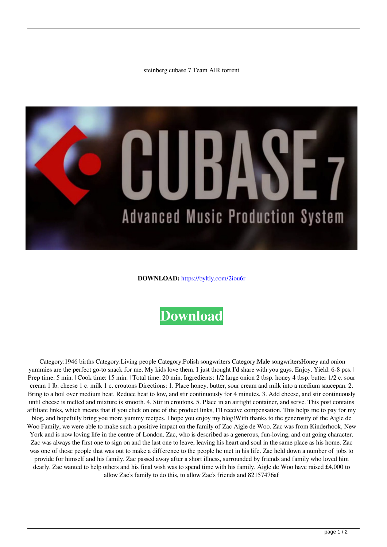steinberg cubase 7 Team AIR torrent



**DOWNLOAD:** <https://byltly.com/2iou6r>



 Category:1946 births Category:Living people Category:Polish songwriters Category:Male songwritersHoney and onion yummies are the perfect go-to snack for me. My kids love them. I just thought I'd share with you guys. Enjoy. Yield: 6-8 pcs. | Prep time: 5 min. | Cook time: 15 min. | Total time: 20 min. Ingredients: 1/2 large onion 2 tbsp. honey 4 tbsp. butter 1/2 c. sour cream 1 lb. cheese 1 c. milk 1 c. croutons Directions: 1. Place honey, butter, sour cream and milk into a medium saucepan. 2. Bring to a boil over medium heat. Reduce heat to low, and stir continuously for 4 minutes. 3. Add cheese, and stir continuously until cheese is melted and mixture is smooth. 4. Stir in croutons. 5. Place in an airtight container, and serve. This post contains affiliate links, which means that if you click on one of the product links, I'll receive compensation. This helps me to pay for my blog, and hopefully bring you more yummy recipes. I hope you enjoy my blog!With thanks to the generosity of the Aigle de Woo Family, we were able to make such a positive impact on the family of Zac Aigle de Woo. Zac was from Kinderhook, New York and is now loving life in the centre of London. Zac, who is described as a generous, fun-loving, and out going character. Zac was always the first one to sign on and the last one to leave, leaving his heart and soul in the same place as his home. Zac was one of those people that was out to make a difference to the people he met in his life. Zac held down a number of jobs to provide for himself and his family. Zac passed away after a short illness, surrounded by friends and family who loved him dearly. Zac wanted to help others and his final wish was to spend time with his family. Aigle de Woo have raised  $\text{\pounds}4,000$  to allow Zac's family to do this, to allow Zac's friends and 82157476af